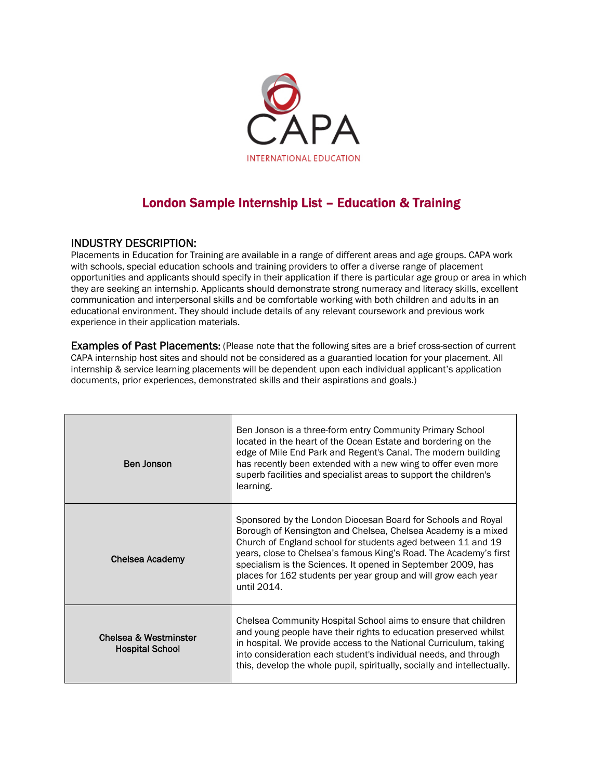

## London Sample Internship List – Education & Training

## INDUSTRY DESCRIPTION:

Placements in Education for Training are available in a range of different areas and age groups. CAPA work with schools, special education schools and training providers to offer a diverse range of placement opportunities and applicants should specify in their application if there is particular age group or area in which they are seeking an internship. Applicants should demonstrate strong numeracy and literacy skills, excellent communication and interpersonal skills and be comfortable working with both children and adults in an educational environment. They should include details of any relevant coursework and previous work experience in their application materials.

Examples of Past Placements: (Please note that the following sites are a brief cross-section of current CAPA internship host sites and should not be considered as a guarantied location for your placement. All internship & service learning placements will be dependent upon each individual applicant's application documents, prior experiences, demonstrated skills and their aspirations and goals.)

| <b>Ben Jonson</b>                               | Ben Jonson is a three-form entry Community Primary School<br>located in the heart of the Ocean Estate and bordering on the<br>edge of Mile End Park and Regent's Canal. The modern building<br>has recently been extended with a new wing to offer even more<br>superb facilities and specialist areas to support the children's<br>learning.                                                                       |
|-------------------------------------------------|---------------------------------------------------------------------------------------------------------------------------------------------------------------------------------------------------------------------------------------------------------------------------------------------------------------------------------------------------------------------------------------------------------------------|
| <b>Chelsea Academy</b>                          | Sponsored by the London Diocesan Board for Schools and Royal<br>Borough of Kensington and Chelsea, Chelsea Academy is a mixed<br>Church of England school for students aged between 11 and 19<br>years, close to Chelsea's famous King's Road. The Academy's first<br>specialism is the Sciences. It opened in September 2009, has<br>places for 162 students per year group and will grow each year<br>until 2014. |
| Chelsea & Westminster<br><b>Hospital School</b> | Chelsea Community Hospital School aims to ensure that children<br>and young people have their rights to education preserved whilst<br>in hospital. We provide access to the National Curriculum, taking<br>into consideration each student's individual needs, and through<br>this, develop the whole pupil, spiritually, socially and intellectually.                                                              |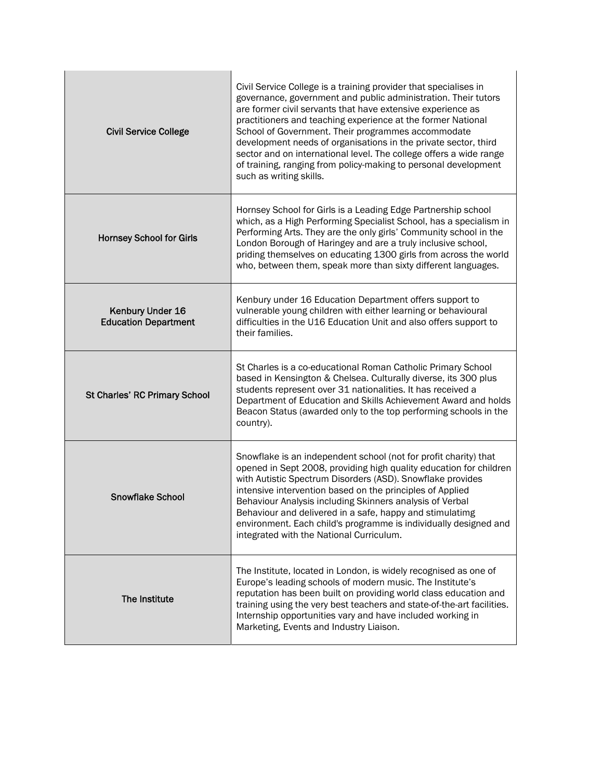| <b>Civil Service College</b>                    | Civil Service College is a training provider that specialises in<br>governance, government and public administration. Their tutors<br>are former civil servants that have extensive experience as<br>practitioners and teaching experience at the former National<br>School of Government. Their programmes accommodate<br>development needs of organisations in the private sector, third<br>sector and on international level. The college offers a wide range<br>of training, ranging from policy-making to personal development<br>such as writing skills. |
|-------------------------------------------------|----------------------------------------------------------------------------------------------------------------------------------------------------------------------------------------------------------------------------------------------------------------------------------------------------------------------------------------------------------------------------------------------------------------------------------------------------------------------------------------------------------------------------------------------------------------|
| <b>Hornsey School for Girls</b>                 | Hornsey School for Girls is a Leading Edge Partnership school<br>which, as a High Performing Specialist School, has a specialism in<br>Performing Arts. They are the only girls' Community school in the<br>London Borough of Haringey and are a truly inclusive school,<br>priding themselves on educating 1300 girls from across the world<br>who, between them, speak more than sixty different languages.                                                                                                                                                  |
| Kenbury Under 16<br><b>Education Department</b> | Kenbury under 16 Education Department offers support to<br>vulnerable young children with either learning or behavioural<br>difficulties in the U16 Education Unit and also offers support to<br>their families.                                                                                                                                                                                                                                                                                                                                               |
| St Charles' RC Primary School                   | St Charles is a co-educational Roman Catholic Primary School<br>based in Kensington & Chelsea. Culturally diverse, its 300 plus<br>students represent over 31 nationalities. It has received a<br>Department of Education and Skills Achievement Award and holds<br>Beacon Status (awarded only to the top performing schools in the<br>country).                                                                                                                                                                                                              |
| <b>Snowflake School</b>                         | Snowflake is an independent school (not for profit charity) that<br>opened in Sept 2008, providing high quality education for children<br>with Autistic Spectrum Disorders (ASD). Snowflake provides<br>intensive intervention based on the principles of Applied<br>Behaviour Analysis including Skinners analysis of Verbal<br>Behaviour and delivered in a safe, happy and stimulatimg<br>environment. Each child's programme is individually designed and<br>integrated with the National Curriculum.                                                      |
| The Institute                                   | The Institute, located in London, is widely recognised as one of<br>Europe's leading schools of modern music. The Institute's<br>reputation has been built on providing world class education and<br>training using the very best teachers and state-of-the-art facilities.<br>Internship opportunities vary and have included working in<br>Marketing, Events and Industry Liaison.                                                                                                                                                                           |